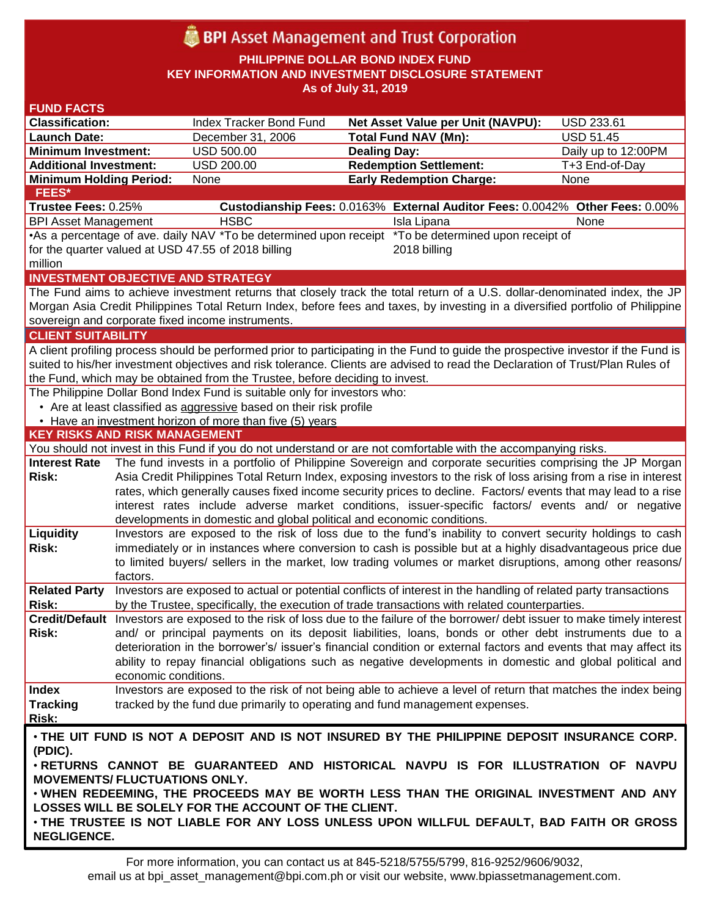# **BPI** Asset Management and Trust Corporation

**PHILIPPINE DOLLAR BOND INDEX FUND KEY INFORMATION AND INVESTMENT DISCLOSURE STATEMENT As of July 31, 2019**

#### **FUND FACTS Classification:** Index Tracker Bond Fund **Net Asset Value per Unit (NAVPU):** USD 233.61 **Launch Date:** December 31, 2006 **Total Fund NAV (Mn):** USD 51.45 **Minimum Investment:** USD 500.00 **Dealing Day:** Dealing Day: Daily up to 12:00PM **Additional Investment:** USD 200.00 **Redemption Settlement:** T+3 End-of-Day **Minimum Holding Period:** None **Early Redemption Charge:** None **KEY RISKS AND RISK MANAGEMENT**  You should not invest in this Fund if you do not understand or are not comfortable with the accompanying risks. **Interest Rate Risk:** The fund invests in a portfolio of Philippine Sovereign and corporate securities comprising the JP Morgan Asia Credit Philippines Total Return Index, exposing investors to the risk of loss arising from a rise in interest rates, which generally causes fixed income security prices to decline. Factors/ events that may lead to a rise interest rates include adverse market conditions, issuer-specific factors/ events and/ or negative developments in domestic and global political and economic conditions. **Liquidity Risk:** Investors are exposed to the risk of loss due to the fund's inability to convert security holdings to cash immediately or in instances where conversion to cash is possible but at a highly disadvantageous price due to limited buyers/ sellers in the market, low trading volumes or market disruptions, among other reasons/ factors. **Related Party**  Investors are exposed to actual or potential conflicts of interest in the handling of related party transactions **Risk:** by the Trustee, specifically, the execution of trade transactions with related counterparties. **Credit/Default**  Investors are exposed to the risk of loss due to the failure of the borrower/ debt issuer to make timely interest **Risk:** and/ or principal payments on its deposit liabilities, loans, bonds or other debt instruments due to a deterioration in the borrower's/ issuer's financial condition or external factors and events that may affect its ability to repay financial obligations such as negative developments in domestic and global political and economic conditions. **Index Tracking Risk:** Investors are exposed to the risk of not being able to achieve a level of return that matches the index being tracked by the fund due primarily to operating and fund management expenses. **INVESTMENT OBJECTIVE AND STRATEGY** The Fund aims to achieve investment returns that closely track the total return of a U.S. dollar-denominated index, the JP Morgan Asia Credit Philippines Total Return Index, before fees and taxes, by investing in a diversified portfolio of Philippine sovereign and corporate fixed income instruments. **CLIENT SUITABILITY** A client profiling process should be performed prior to participating in the Fund to guide the prospective investor if the Fund is suited to his/her investment objectives and risk tolerance. Clients are advised to read the Declaration of Trust/Plan Rules of the Fund, which may be obtained from the Trustee, before deciding to invest. The Philippine Dollar Bond Index Fund is suitable only for investors who: • Are at least classified as aggressive based on their risk profile • Have an investment horizon of more than five (5) years • **THE UIT FUND IS NOT A DEPOSIT AND IS NOT INSURED BY THE PHILIPPINE DEPOSIT INSURANCE CORP. (PDIC).** • **RETURNS CANNOT BE GUARANTEED AND HISTORICAL NAVPU IS FOR ILLUSTRATION OF NAVPU MOVEMENTS/ FLUCTUATIONS ONLY.** • **WHEN REDEEMING, THE PROCEEDS MAY BE WORTH LESS THAN THE ORIGINAL INVESTMENT AND ANY LOSSES WILL BE SOLELY FOR THE ACCOUNT OF THE CLIENT.** • **THE TRUSTEE IS NOT LIABLE FOR ANY LOSS UNLESS UPON WILLFUL DEFAULT, BAD FAITH OR GROSS NEGLIGENCE. FEES\* Trustee Fees:** 0.25% **Custodianship Fees:** 0.0163% **External Auditor Fees:** 0.0042% **Other Fees:** 0.00% BPI Asset Management **HSBC Isla Lipana** Isla Lipana None •As a percentage of ave. daily NAV \*To be determined upon receipt \*To be determined upon receipt of for the quarter valued at USD 47.55 of 2018 billing million 2018 billing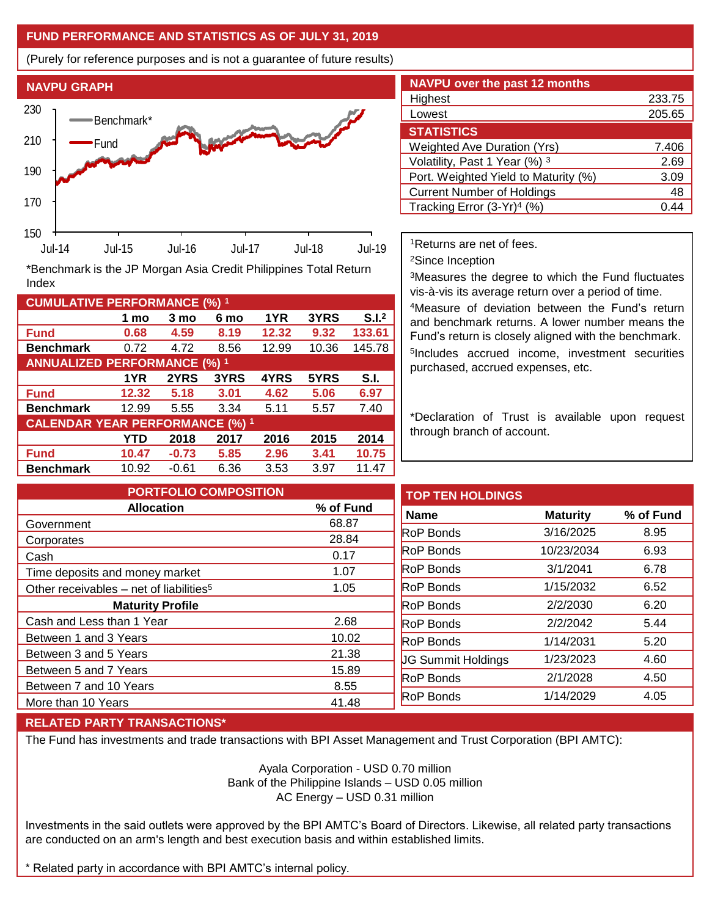## **FUND PERFORMANCE AND STATISTICS AS OF JULY 31, 2019**

(Purely for reference purposes and is not a guarantee of future results)



**Fund 0.68 4.59 8.19 12.32 9.32 133.61 Benchmark** 0.72 4.72 8.56 12.99 10.36 145.78

**Fund 12.32 5.18 3.01 4.62 5.06 6.97 Benchmark** 12.99 5.55 3.34 5.11 5.57 7.40

**Fund 10.47 -0.73 5.85 2.96 3.41 10.75 Benchmark** 10.92 -0.61 6.36 3.53 3.97 11.47

**1 mo 3 mo 6 mo 1YR 3YRS S.I.<sup>2</sup>**

**1YR 2YRS 3YRS 4YRS 5YRS S.I.**

**YTD 2018 2017 2016 2015 2014**

| <b>NAVPU over the past 12 months</b>   |        |
|----------------------------------------|--------|
| Highest                                | 233.75 |
| Lowest                                 | 205.65 |
| <b>STATISTICS</b>                      |        |
| <b>Weighted Ave Duration (Yrs)</b>     | 7.406  |
| Volatility, Past 1 Year (%) 3          | 2.69   |
| Port. Weighted Yield to Maturity (%)   | 3.09   |
| <b>Current Number of Holdings</b>      | 48     |
| Tracking Error (3-Yr) <sup>4</sup> (%) | በ 4    |

<sup>1</sup>Returns are net of fees.

<sup>2</sup>Since Inception

<sup>3</sup>Measures the degree to which the Fund fluctuates vis-à-vis its average return over a period of time.

<sup>4</sup>Measure of deviation between the Fund's return and benchmark returns. A lower number means the Fund's return is closely aligned with the benchmark. 5 Includes accrued income, investment securities purchased, accrued expenses, etc.

\*Declaration of Trust is available upon request through branch of account.

| <b>PORTFOLIO COMPOSITION</b>                        |           | <b>TOP TEN HOLDINGS</b>   |                 |           |
|-----------------------------------------------------|-----------|---------------------------|-----------------|-----------|
| <b>Allocation</b>                                   | % of Fund | <b>Name</b>               | <b>Maturity</b> | % of Fund |
| Government                                          | 68.87     |                           |                 |           |
| Corporates                                          | 28.84     | <b>RoP Bonds</b>          | 3/16/2025       | 8.95      |
| Cash                                                | 0.17      | <b>RoP Bonds</b>          | 10/23/2034      | 6.93      |
| Time deposits and money market                      | 1.07      | <b>RoP Bonds</b>          | 3/1/2041        | 6.78      |
| Other receivables - net of liabilities <sup>5</sup> | 1.05      | <b>RoP Bonds</b>          | 1/15/2032       | 6.52      |
| <b>Maturity Profile</b>                             |           | <b>RoP Bonds</b>          | 2/2/2030        | 6.20      |
| Cash and Less than 1 Year                           | 2.68      | <b>RoP Bonds</b>          | 2/2/2042        | 5.44      |
| Between 1 and 3 Years                               | 10.02     | <b>RoP</b> Bonds          | 1/14/2031       | 5.20      |
| Between 3 and 5 Years                               | 21.38     |                           | 1/23/2023       | 4.60      |
| Between 5 and 7 Years                               | 15.89     | <b>JG Summit Holdings</b> |                 |           |
| Between 7 and 10 Years                              | 8.55      | <b>RoP Bonds</b>          | 2/1/2028        | 4.50      |
|                                                     |           | <b>RoP Bonds</b>          | 1/14/2029       | 4.05      |
| More than 10 Years                                  | 41.48     |                           |                 |           |

### **RELATED PARTY TRANSACTIONS\***

**CUMULATIVE PERFORMANCE (%) <sup>1</sup>**

Index

**ANNUALIZED PERFORMANCE (%) <sup>1</sup>**

**CALENDAR YEAR PERFORMANCE (%) <sup>1</sup>**

The Fund has investments and trade transactions with BPI Asset Management and Trust Corporation (BPI AMTC):

Ayala Corporation - USD 0.70 million Bank of the Philippine Islands – USD 0.05 million AC Energy – USD 0.31 million

Investments in the said outlets were approved by the BPI AMTC's Board of Directors. Likewise, all related party transactions are conducted on an arm's length and best execution basis and within established limits.

\* Related party in accordance with BPI AMTC's internal policy.